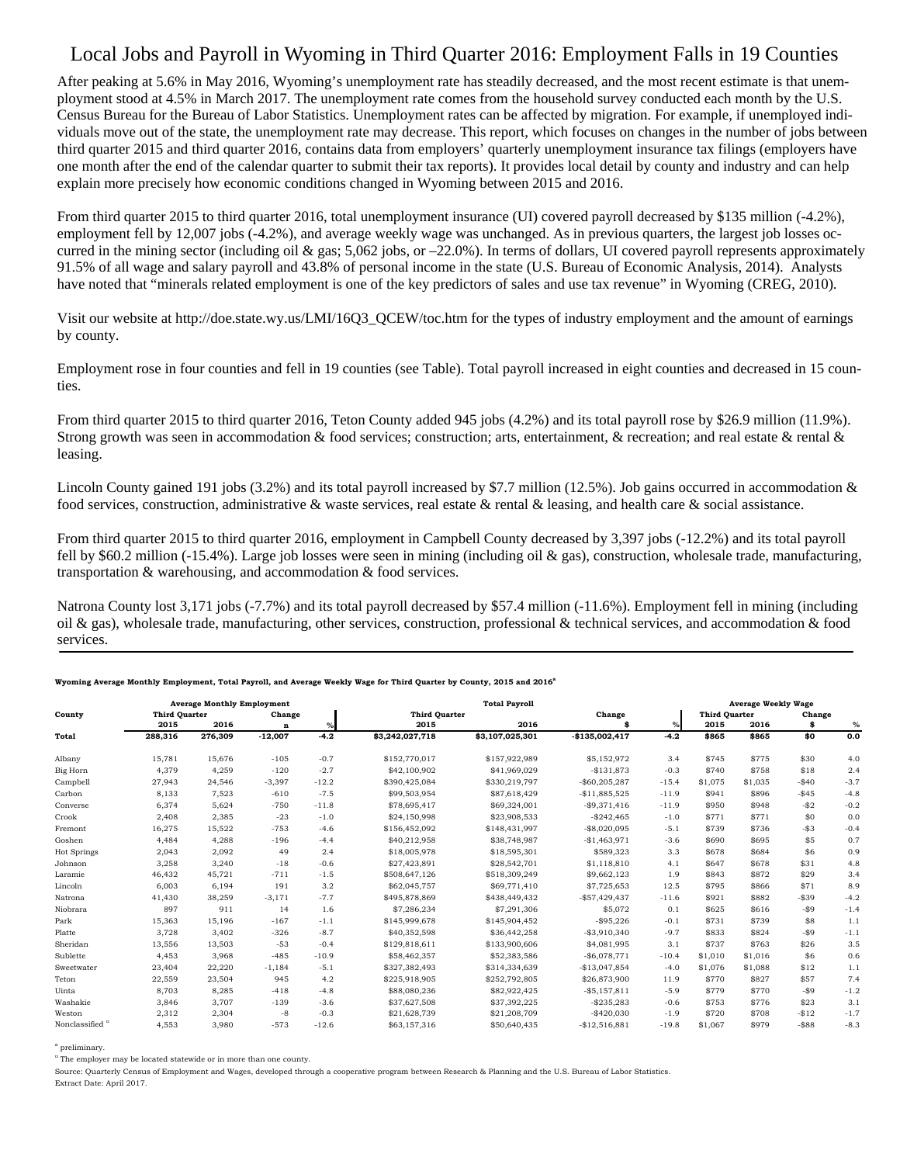## Local Jobs and Payroll in Wyoming in Third Quarter 2016: Employment Falls in 19 Counties

After peaking at 5.6% in May 2016, Wyoming's unemployment rate has steadily decreased, and the most recent estimate is that unemployment stood at 4.5% in March 2017. The unemployment rate comes from the household survey conducted each month by the U.S. Census Bureau for the Bureau of Labor Statistics. Unemployment rates can be affected by migration. For example, if unemployed individuals move out of the state, the unemployment rate may decrease. This report, which focuses on changes in the number of jobs between third quarter 2015 and third quarter 2016, contains data from employers' quarterly unemployment insurance tax filings (employers have one month after the end of the calendar quarter to submit their tax reports). It provides local detail by county and industry and can help explain more precisely how economic conditions changed in Wyoming between 2015 and 2016.

From third quarter 2015 to third quarter 2016, total unemployment insurance (UI) covered payroll decreased by \$135 million (-4.2%), employment fell by 12,007 jobs (-4.2%), and average weekly wage was unchanged. As in previous quarters, the largest job losses occurred in the mining sector (including oil & gas;  $5,062$  jobs, or  $-22.0\%$ ). In terms of dollars, UI covered payroll represents approximately 91.5% of all wage and salary payroll and 43.8% of personal income in the state (U.S. Bureau of Economic Analysis, 2014). Analysts have noted that "minerals related employment is one of the key predictors of sales and use tax revenue" in Wyoming (CREG, 2010).

Visit our website at http://doe.state.wy.us/LMI/16Q3\_QCEW/toc.htm for the types of industry employment and the amount of earnings by county.

Employment rose in four counties and fell in 19 counties (see Table). Total payroll increased in eight counties and decreased in 15 counties.

From third quarter 2015 to third quarter 2016, Teton County added 945 jobs (4.2%) and its total payroll rose by \$26.9 million (11.9%). Strong growth was seen in accommodation & food services; construction; arts, entertainment, & recreation; and real estate & rental & leasing.

Lincoln County gained 191 jobs (3.2%) and its total payroll increased by \$7.7 million (12.5%). Job gains occurred in accommodation  $\&$ food services, construction, administrative & waste services, real estate & rental & leasing, and health care & social assistance.

From third quarter 2015 to third quarter 2016, employment in Campbell County decreased by 3,397 jobs (-12.2%) and its total payroll fell by \$60.2 million (-15.4%). Large job losses were seen in mining (including oil & gas), construction, wholesale trade, manufacturing, transportation & warehousing, and accommodation & food services.

Natrona County lost 3,171 jobs (-7.7%) and its total payroll decreased by \$57.4 million (-11.6%). Employment fell in mining (including oil & gas), wholesale trade, manufacturing, other services, construction, professional & technical services, and accommodation & food services.

| County                     | <b>Average Monthly Employment</b> |         |             |         | <b>Total Payroll</b> |                 |                 |         |                      | <b>Average Weekly Wage</b> |          |        |
|----------------------------|-----------------------------------|---------|-------------|---------|----------------------|-----------------|-----------------|---------|----------------------|----------------------------|----------|--------|
|                            | <b>Third Quarter</b>              |         | Change      |         | <b>Third Quarter</b> |                 | Change          |         | <b>Third Quarter</b> |                            | Change   |        |
|                            | 2015                              | 2016    | $\mathbf n$ | $\%$    | 2015                 | 2016            |                 | $\%$    | 2015                 | 2016                       | \$       | $\%$   |
| Total                      | 288,316                           | 276,309 | $-12,007$   | $-4.2$  | \$3,242,027,718      | \$3,107,025,301 | $-$135,002,417$ | $-4.2$  | \$865                | \$865                      | \$0      | 0.0    |
| Albany                     | 15.781                            | 15.676  | $-105$      | $-0.7$  | \$152,770,017        | \$157,922,989   | \$5,152,972     | 3.4     | \$745                | \$775                      | \$30     | 4.0    |
| Big Horn                   | 4,379                             | 4,259   | $-120$      | $-2.7$  | \$42,100,902         | \$41,969,029    | $-$131.873$     | $-0.3$  | \$740                | \$758                      | \$18     | 2.4    |
| Campbell                   | 27,943                            | 24,546  | $-3.397$    | $-12.2$ | \$390,425,084        | \$330,219.797   | $-$60.205.287$  | $-15.4$ | \$1,075              | \$1,035                    | $-$40$   | $-3.7$ |
| Carbon                     | 8,133                             | 7,523   | $-610$      | $-7.5$  | \$99,503,954         | \$87,618,429    | $-$11,885,525$  | $-11.9$ | \$941                | \$896                      | $-$45$   | $-4.8$ |
| Converse                   | 6,374                             | 5,624   | $-750$      | $-11.8$ | \$78,695,417         | \$69,324,001    | $-$9,371,416$   | $-11.9$ | \$950                | \$948                      | $-$2$    | $-0.2$ |
| Crook                      | 2,408                             | 2,385   | $-23$       | $-1.0$  | \$24,150,998         | \$23,908,533    | $-$242,465$     | $-1.0$  | \$771                | \$771                      | \$0      | 0.0    |
| Fremont                    | 16,275                            | 15,522  | $-753$      | $-4.6$  | \$156,452,092        | \$148,431,997   | $-$8,020,095$   | $-5.1$  | \$739                | \$736                      | $- $3$   | $-0.4$ |
| Goshen                     | 4.484                             | 4.288   | $-196$      | $-4.4$  | \$40,212,958         | \$38,748,987    | $-$1,463,971$   | $-3.6$  | \$690                | \$695                      | \$5      | 0.7    |
| <b>Hot Springs</b>         | 2,043                             | 2,092   | 49          | 2.4     | \$18,005,978         | \$18,595,301    | \$589,323       | 3.3     | \$678                | \$684                      | \$6      | 0.9    |
| Johnson                    | 3,258                             | 3,240   | $-18$       | $-0.6$  | \$27,423,891         | \$28,542,701    | \$1,118,810     | 4.1     | \$647                | \$678                      | \$31     | 4.8    |
| Laramie                    | 46,432                            | 45,721  | $-711$      | $-1.5$  | \$508,647,126        | \$518,309,249   | \$9,662,123     | 1.9     | \$843                | \$872                      | \$29     | 3.4    |
| Lincoln                    | 6,003                             | 6,194   | 191         | 3.2     | \$62,045,757         | \$69,771,410    | \$7,725,653     | 12.5    | \$795                | \$866                      | \$71     | 8.9    |
| Natrona                    | 41,430                            | 38,259  | $-3.171$    | $-7.7$  | \$495,878,869        | \$438,449,432   | $-$57.429.437$  | $-11.6$ | \$921                | \$882                      | $-$ \$39 | $-4.2$ |
| Niobrara                   | 897                               | 911     | 14          | 1.6     | \$7,286,234          | \$7,291,306     | \$5,072         | 0.1     | \$625                | \$616                      | -\$9     | $-1.4$ |
| Park                       | 15.363                            | 15.196  | $-167$      | $-1.1$  | \$145,999,678        | \$145,904,452   | $-$95,226$      | $-0.1$  | \$731                | \$739                      | \$8      | 1.1    |
| Platte                     | 3,728                             | 3,402   | $-326$      | $-8.7$  | \$40,352,598         | \$36,442,258    | $-$ \$3,910,340 | $-9.7$  | \$833                | \$824                      | $-$ \$9  | $-1.1$ |
| Sheridan                   | 13,556                            | 13,503  | $-53$       | $-0.4$  | \$129,818,611        | \$133,900,606   | \$4,081,995     | 3.1     | \$737                | \$763                      | \$26     | 3.5    |
| Sublette                   | 4,453                             | 3,968   | $-485$      | $-10.9$ | \$58,462,357         | \$52,383,586    | $-$6.078.771$   | $-10.4$ | \$1,010              | \$1,016                    | \$6      | 0.6    |
| Sweetwater                 | 23.404                            | 22,220  | $-1,184$    | $-5.1$  | \$327,382,493        | \$314,334,639   | $-$13.047.854$  | $-4.0$  | \$1,076              | \$1,088                    | \$12     | 1.1    |
| Teton                      | 22,559                            | 23,504  | 945         | 4.2     | \$225,918,905        | \$252,792,805   | \$26,873,900    | 11.9    | \$770                | \$827                      | \$57     | 7.4    |
| Uinta                      | 8.703                             | 8,285   | $-418$      | $-4.8$  | \$88,080,236         | \$82,922,425    | $-$5,157,811$   | $-5.9$  | \$779                | \$770                      | $-$ \$9  | $-1.2$ |
| Washakie                   | 3.846                             | 3.707   | $-139$      | $-3.6$  | \$37,627,508         | \$37,392,225    | $-$235,283$     | $-0.6$  | \$753                | \$776                      | \$23     | 3.1    |
| Weston                     | 2,312                             | 2,304   | $-8$        | $-0.3$  | \$21,628,739         | \$21,208,709    | $-$420,030$     | $-1.9$  | \$720                | \$708                      | $-$12$   | $-1.7$ |
| Nonclassified <sup>b</sup> | 4,553                             | 3,980   | $-573$      | $-12.6$ | \$63,157,316         | \$50,640,435    | $-$12,516,881$  | $-19.8$ | \$1,067              | \$979                      | $-$ \$88 | $-8.3$ |

## ming Average Monthly Employment, Total Payroll, and Average Weekly Wage for Third Quarter by County, 2015 and 2016<sup>4</sup>

a preliminary.

<sup>b</sup> The employer may be located statewide or in more than one county.

Source: Quarterly Census of Employment and Wages, developed through a cooperative program between Research & Planning and the U.S. Bureau of Labor Statistics. Extract Date: April 2017.